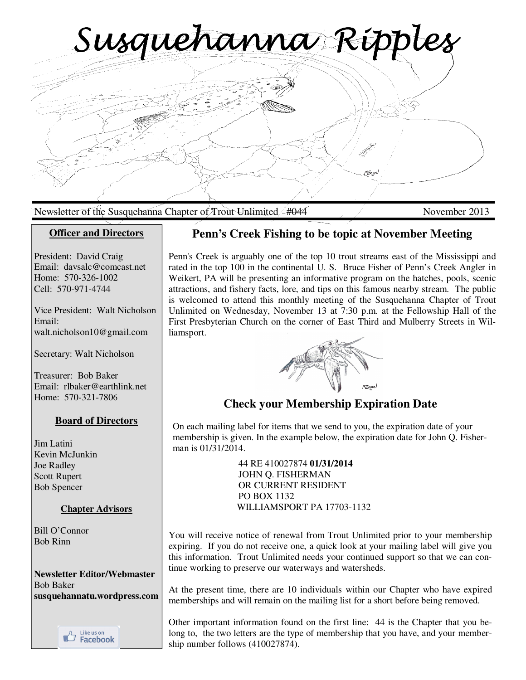Susquehanna Ripples

Newsletter of the Susquehanna Chapter of Trout Unlimited 4044 November 2013

## **Officer and Directors**

President: David Craig Email: davsalc@comcast.net Home: 570-326-1002 Cell: 570-971-4744

Vice President: Walt Nicholson Email: walt.nicholson10@gmail.com

Secretary: Walt Nicholson

Treasurer: Bob Baker Email: rlbaker@earthlink.net Home: 570-321-7806

## **Board of Directors**

Jim Latini Kevin McJunkin Joe Radley Scott Rupert Bob Spencer

## **Chapter Advisors**

Bill O'Connor Bob Rinn

**Newsletter Editor/Webmaster**  Bob Baker **susquehannatu.wordpress.com** 



## **Penn's Creek Fishing to be topic at November Meeting**

Penn's Creek is arguably one of the top 10 trout streams east of the Mississippi and rated in the top 100 in the continental U. S. Bruce Fisher of Penn's Creek Angler in Weikert, PA will be presenting an informative program on the hatches, pools, scenic attractions, and fishery facts, lore, and tips on this famous nearby stream. The public is welcomed to attend this monthly meeting of the Susquehanna Chapter of Trout Unlimited on Wednesday, November 13 at 7:30 p.m. at the Fellowship Hall of the First Presbyterian Church on the corner of East Third and Mulberry Streets in Williamsport.



# **Check your Membership Expiration Date**

On each mailing label for items that we send to you, the expiration date of your membership is given. In the example below, the expiration date for John Q. Fisherman is 01/31/2014.

> 44 RE 410027874 **01/31/2014** JOHN Q. FISHERMAN OR CURRENT RESIDENT PO BOX 1132 WILLIAMSPORT PA 17703-1132

You will receive notice of renewal from Trout Unlimited prior to your membership expiring. If you do not receive one, a quick look at your mailing label will give you this information. Trout Unlimited needs your continued support so that we can continue working to preserve our waterways and watersheds.

At the present time, there are 10 individuals within our Chapter who have expired memberships and will remain on the mailing list for a short before being removed.

Other important information found on the first line: 44 is the Chapter that you belong to, the two letters are the type of membership that you have, and your membership number follows (410027874).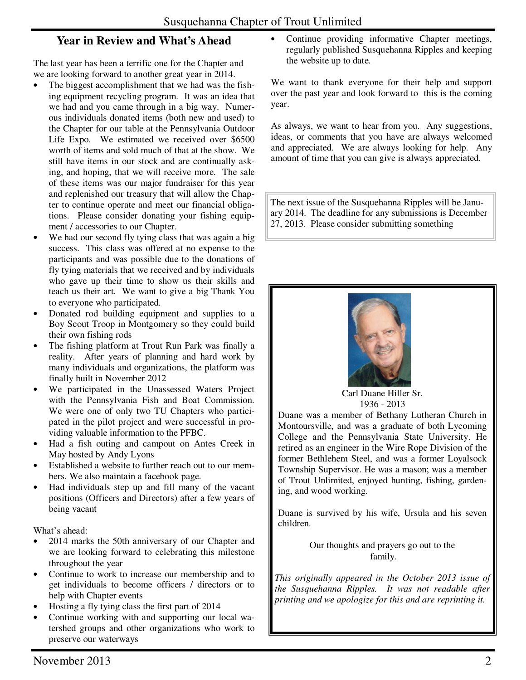# **Year in Review and What's Ahead**

The last year has been a terrific one for the Chapter and we are looking forward to another great year in 2014.

- The biggest accomplishment that we had was the fishing equipment recycling program. It was an idea that we had and you came through in a big way. Numerous individuals donated items (both new and used) to the Chapter for our table at the Pennsylvania Outdoor Life Expo. We estimated we received over \$6500 worth of items and sold much of that at the show. We still have items in our stock and are continually asking, and hoping, that we will receive more. The sale of these items was our major fundraiser for this year and replenished our treasury that will allow the Chapter to continue operate and meet our financial obligations. Please consider donating your fishing equipment / accessories to our Chapter.
- We had our second fly tying class that was again a big success. This class was offered at no expense to the participants and was possible due to the donations of fly tying materials that we received and by individuals who gave up their time to show us their skills and teach us their art. We want to give a big Thank You to everyone who participated.
- Donated rod building equipment and supplies to a Boy Scout Troop in Montgomery so they could build their own fishing rods
- The fishing platform at Trout Run Park was finally a reality. After years of planning and hard work by many individuals and organizations, the platform was finally built in November 2012
- We participated in the Unassessed Waters Project with the Pennsylvania Fish and Boat Commission. We were one of only two TU Chapters who participated in the pilot project and were successful in providing valuable information to the PFBC.
- Had a fish outing and campout on Antes Creek in May hosted by Andy Lyons
- Established a website to further reach out to our members. We also maintain a facebook page.
- Had individuals step up and fill many of the vacant positions (Officers and Directors) after a few years of being vacant

What's ahead:

- 2014 marks the 50th anniversary of our Chapter and we are looking forward to celebrating this milestone throughout the year
- Continue to work to increase our membership and to get individuals to become officers / directors or to help with Chapter events
- Hosting a fly tying class the first part of 2014
- Continue working with and supporting our local watershed groups and other organizations who work to preserve our waterways

Continue providing informative Chapter meetings, regularly published Susquehanna Ripples and keeping the website up to date.

We want to thank everyone for their help and support over the past year and look forward to this is the coming year.

As always, we want to hear from you. Any suggestions, ideas, or comments that you have are always welcomed and appreciated. We are always looking for help. Any amount of time that you can give is always appreciated.

The next issue of the Susquehanna Ripples will be January 2014. The deadline for any submissions is December 27, 2013. Please consider submitting something



Carl Duane Hiller Sr. 1936 - 2013

Duane was a member of Bethany Lutheran Church in Montoursville, and was a graduate of both Lycoming College and the Pennsylvania State University. He retired as an engineer in the Wire Rope Division of the former Bethlehem Steel, and was a former Loyalsock Township Supervisor. He was a mason; was a member of Trout Unlimited, enjoyed hunting, fishing, gardening, and wood working.

Duane is survived by his wife, Ursula and his seven children.

> Our thoughts and prayers go out to the family.

*This originally appeared in the October 2013 issue of the Susquehanna Ripples. It was not readable after printing and we apologize for this and are reprinting it.*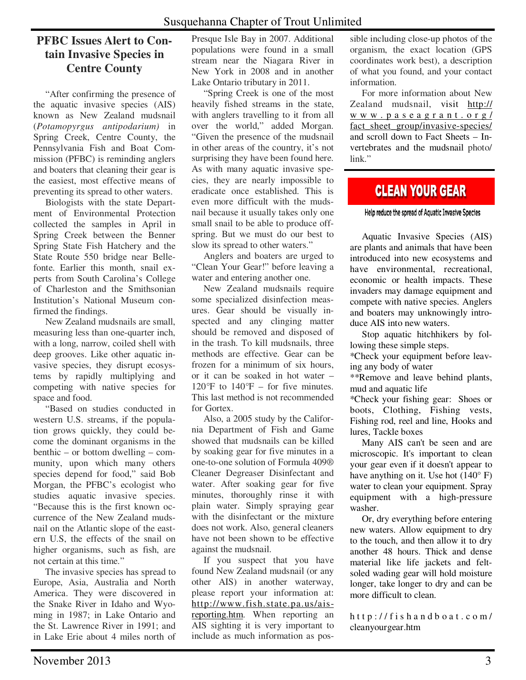# **PFBC Issues Alert to Contain Invasive Species in Centre County**

 "After confirming the presence of the aquatic invasive species (AIS) known as New Zealand mudsnail (*Potamopyrgus antipodarium)* in Spring Creek, Centre County, the Pennsylvania Fish and Boat Commission (PFBC) is reminding anglers and boaters that cleaning their gear is the easiest, most effective means of preventing its spread to other waters.

 Biologists with the state Department of Environmental Protection collected the samples in April in Spring Creek between the Benner Spring State Fish Hatchery and the State Route 550 bridge near Bellefonte. Earlier this month, snail experts from South Carolina's College of Charleston and the Smithsonian Institution's National Museum confirmed the findings.

 New Zealand mudsnails are small, measuring less than one-quarter inch, with a long, narrow, coiled shell with deep grooves. Like other aquatic invasive species, they disrupt ecosystems by rapidly multiplying and competing with native species for space and food.

 "Based on studies conducted in western U.S. streams, if the population grows quickly, they could become the dominant organisms in the benthic – or bottom dwelling – community, upon which many others species depend for food," said Bob Morgan, the PFBC's ecologist who studies aquatic invasive species. "Because this is the first known occurrence of the New Zealand mudsnail on the Atlantic slope of the eastern U.S, the effects of the snail on higher organisms, such as fish, are not certain at this time."

 The invasive species has spread to Europe, Asia, Australia and North America. They were discovered in the Snake River in Idaho and Wyoming in 1987; in Lake Ontario and the St. Lawrence River in 1991; and in Lake Erie about 4 miles north of

Presque Isle Bay in 2007. Additional populations were found in a small stream near the Niagara River in New York in 2008 and in another Lake Ontario tributary in 2011.

 "Spring Creek is one of the most heavily fished streams in the state, with anglers travelling to it from all over the world," added Morgan. "Given the presence of the mudsnail in other areas of the country, it's not surprising they have been found here. As with many aquatic invasive species, they are nearly impossible to eradicate once established. This is even more difficult with the mudsnail because it usually takes only one small snail to be able to produce offspring. But we must do our best to slow its spread to other waters."

 Anglers and boaters are urged to "Clean Your Gear!" before leaving a water and entering another one.

 New Zealand mudsnails require some specialized disinfection measures. Gear should be visually inspected and any clinging matter should be removed and disposed of in the trash. To kill mudsnails, three methods are effective. Gear can be frozen for a minimum of six hours, or it can be soaked in hot water – 120*°*F to 140*°*F – for five minutes. This last method is not recommended for Gortex.

 Also, a 2005 study by the California Department of Fish and Game showed that mudsnails can be killed by soaking gear for five minutes in a one-to-one solution of Formula 409® Cleaner Degreaser Disinfectant and water. After soaking gear for five minutes, thoroughly rinse it with plain water. Simply spraying gear with the disinfectant or the mixture does not work. Also, general cleaners have not been shown to be effective against the mudsnail.

 If you suspect that you have found New Zealand mudsnail (or any other AIS) in another waterway, please report your information at: http://www.fish.state.pa.us/aisreporting.htm. When reporting an AIS sighting it is very important to include as much information as pos-

sible including close-up photos of the organism, the exact location (GPS coordinates work best), a description of what you found, and your contact information.

 For more information about New Zealand mudsnail, visit http:// w w w . p a s e a g r a n t . o r g / fact sheet group/invasive-species/ and scroll down to Fact Sheets – Invertebrates and the mudsnail photo/ link."

# **CLEAN YOUR GEAR**

#### Help reduce the spread of Aquatic Invasive Species

 Aquatic Invasive Species (AIS) are plants and animals that have been introduced into new ecosystems and have environmental, recreational, economic or health impacts. These invaders may damage equipment and compete with native species. Anglers and boaters may unknowingly introduce AIS into new waters.

 Stop aquatic hitchhikers by following these simple steps.

\*Check your equipment before leaving any body of water

\*\*Remove and leave behind plants, mud and aquatic life

\*Check your fishing gear: Shoes or boots, Clothing, Fishing vests, Fishing rod, reel and line, Hooks and lures, Tackle boxes

 Many AIS can't be seen and are microscopic. It's important to clean your gear even if it doesn't appear to have anything on it. Use hot  $(140^{\circ} \text{ F})$ water to clean your equipment. Spray equipment with a high-pressure washer.

 Or, dry everything before entering new waters. Allow equipment to dry to the touch, and then allow it to dry another 48 hours. Thick and dense material like life jackets and feltsoled wading gear will hold moisture longer, take longer to dry and can be more difficult to clean.

http://fishandboat.com/ cleanyourgear.htm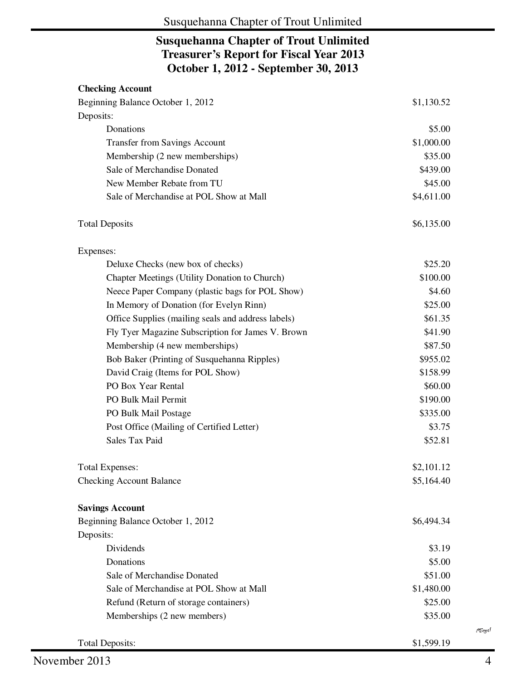# **Susquehanna Chapter of Trout Unlimited Treasurer's Report for Fiscal Year 2013 October 1, 2012 - September 30, 2013**

| <b>Checking Account</b>                            |            |
|----------------------------------------------------|------------|
| Beginning Balance October 1, 2012                  | \$1,130.52 |
| Deposits:                                          |            |
| Donations                                          | \$5.00     |
| <b>Transfer from Savings Account</b>               | \$1,000.00 |
| Membership (2 new memberships)                     | \$35.00    |
| Sale of Merchandise Donated                        | \$439.00   |
| New Member Rebate from TU                          | \$45.00    |
| Sale of Merchandise at POL Show at Mall            | \$4,611.00 |
| <b>Total Deposits</b>                              | \$6,135.00 |
| Expenses:                                          |            |
| Deluxe Checks (new box of checks)                  | \$25.20    |
| Chapter Meetings (Utility Donation to Church)      | \$100.00   |
| Neece Paper Company (plastic bags for POL Show)    | \$4.60     |
| In Memory of Donation (for Evelyn Rinn)            | \$25.00    |
| Office Supplies (mailing seals and address labels) | \$61.35    |
| Fly Tyer Magazine Subscription for James V. Brown  | \$41.90    |
| Membership (4 new memberships)                     | \$87.50    |
| Bob Baker (Printing of Susquehanna Ripples)        | \$955.02   |
| David Craig (Items for POL Show)                   | \$158.99   |
| PO Box Year Rental                                 | \$60.00    |
| PO Bulk Mail Permit                                | \$190.00   |
| PO Bulk Mail Postage                               | \$335.00   |
| Post Office (Mailing of Certified Letter)          | \$3.75     |
| <b>Sales Tax Paid</b>                              | \$52.81    |
| <b>Total Expenses:</b>                             | \$2,101.12 |
| <b>Checking Account Balance</b>                    | \$5,164.40 |
| <b>Savings Account</b>                             |            |
| Beginning Balance October 1, 2012                  | \$6,494.34 |
| Deposits:                                          |            |
| Dividends                                          | \$3.19     |
| Donations                                          | \$5.00     |
| Sale of Merchandise Donated                        | \$51.00    |
| Sale of Merchandise at POL Show at Mall            | \$1,480.00 |
| Refund (Return of storage containers)              | \$25.00    |
| Memberships (2 new members)                        | \$35.00    |
| <b>Total Deposits:</b>                             | \$1,599.19 |

MEngel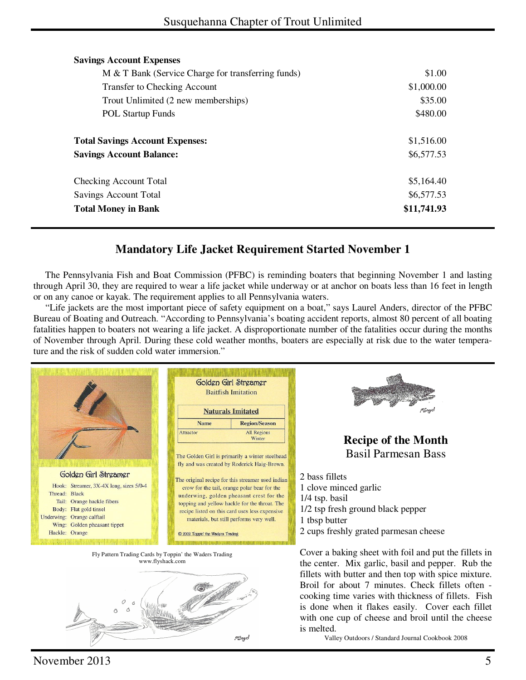| <b>Savings Account Expenses</b>                    |             |
|----------------------------------------------------|-------------|
| M & T Bank (Service Charge for transferring funds) | \$1.00      |
| <b>Transfer to Checking Account</b>                | \$1,000.00  |
| Trout Unlimited (2 new memberships)                | \$35.00     |
| <b>POL Startup Funds</b>                           | \$480.00    |
|                                                    |             |
| <b>Total Savings Account Expenses:</b>             | \$1,516.00  |
| <b>Savings Account Balance:</b>                    | \$6,577.53  |
| Checking Account Total                             | \$5,164.40  |
| <b>Savings Account Total</b>                       | \$6,577.53  |
| <b>Total Money in Bank</b>                         | \$11,741.93 |

# **Mandatory Life Jacket Requirement Started November 1**

 The Pennsylvania Fish and Boat Commission (PFBC) is reminding boaters that beginning November 1 and lasting through April 30, they are required to wear a life jacket while underway or at anchor on boats less than 16 feet in length or on any canoe or kayak. The requirement applies to all Pennsylvania waters.

 "Life jackets are the most important piece of safety equipment on a boat," says Laurel Anders, director of the PFBC Bureau of Boating and Outreach. "According to Pennsylvania's boating accident reports, almost 80 percent of all boating fatalities happen to boaters not wearing a life jacket. A disproportionate number of the fatalities occur during the months of November through April. During these cold weather months, boaters are especially at risk due to the water temperature and the risk of sudden cold water immersion."



*PEngel* 

Broil for about 7 minutes. Check fillets often cooking time varies with thickness of fillets. Fish is done when it flakes easily. Cover each fillet with one cup of cheese and broil until the cheese is melted.

Valley Outdoors / Standard Journal Cookbook 2008

 $\Omega$